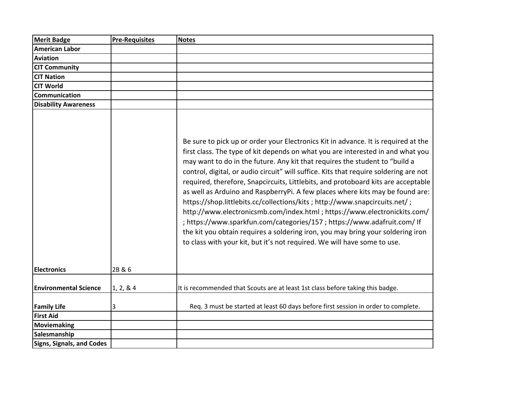| <b>Merit Badge</b>               | <b>Pre-Requisites</b> | <b>Notes</b>                                                                                                                                                                                                                                                                                                                                                                                                                                                                                                                                                                                                                                                                                                                                                                                                                                                                                                               |
|----------------------------------|-----------------------|----------------------------------------------------------------------------------------------------------------------------------------------------------------------------------------------------------------------------------------------------------------------------------------------------------------------------------------------------------------------------------------------------------------------------------------------------------------------------------------------------------------------------------------------------------------------------------------------------------------------------------------------------------------------------------------------------------------------------------------------------------------------------------------------------------------------------------------------------------------------------------------------------------------------------|
| American Labor                   |                       |                                                                                                                                                                                                                                                                                                                                                                                                                                                                                                                                                                                                                                                                                                                                                                                                                                                                                                                            |
| Aviation                         |                       |                                                                                                                                                                                                                                                                                                                                                                                                                                                                                                                                                                                                                                                                                                                                                                                                                                                                                                                            |
| <b>CIT Community</b>             |                       |                                                                                                                                                                                                                                                                                                                                                                                                                                                                                                                                                                                                                                                                                                                                                                                                                                                                                                                            |
| <b>CIT Nation</b>                |                       |                                                                                                                                                                                                                                                                                                                                                                                                                                                                                                                                                                                                                                                                                                                                                                                                                                                                                                                            |
| <b>CIT World</b>                 |                       |                                                                                                                                                                                                                                                                                                                                                                                                                                                                                                                                                                                                                                                                                                                                                                                                                                                                                                                            |
| Communication                    |                       |                                                                                                                                                                                                                                                                                                                                                                                                                                                                                                                                                                                                                                                                                                                                                                                                                                                                                                                            |
| <b>Disability Awareness</b>      |                       |                                                                                                                                                                                                                                                                                                                                                                                                                                                                                                                                                                                                                                                                                                                                                                                                                                                                                                                            |
|                                  |                       | Be sure to pick up or order your Electronics Kit in advance. It is required at the<br>first class. The type of kit depends on what you are interested in and what you<br>may want to do in the future. Any kit that requires the student to "build a<br>control, digital, or audio circuit" will suffice. Kits that require soldering are not<br>required, therefore, Snapcircuits, Littlebits, and protoboard kits are acceptable<br>as well as Arduino and RaspberryPi. A few places where kits may be found are:<br>https://shop.littlebits.cc/collections/kits ; http://www.snapcircuits.net/;<br>http://www.electronicsmb.com/index.html ; https://www.electronickits.com/<br>; https://www.sparkfun.com/categories/157 ; https://www.adafruit.com/ If<br>the kit you obtain requires a soldering iron, you may bring your soldering iron<br>to class with your kit, but it's not required. We will have some to use. |
| <b>Electronics</b>               | 2B & 6                |                                                                                                                                                                                                                                                                                                                                                                                                                                                                                                                                                                                                                                                                                                                                                                                                                                                                                                                            |
| <b>Environmental Science</b>     | 1, 2, 8, 4            | It is recommended that Scouts are at least 1st class before taking this badge.                                                                                                                                                                                                                                                                                                                                                                                                                                                                                                                                                                                                                                                                                                                                                                                                                                             |
| <b>Family Life</b>               | 3                     | Req. 3 must be started at least 60 days before first session in order to complete.                                                                                                                                                                                                                                                                                                                                                                                                                                                                                                                                                                                                                                                                                                                                                                                                                                         |
| <b>First Aid</b>                 |                       |                                                                                                                                                                                                                                                                                                                                                                                                                                                                                                                                                                                                                                                                                                                                                                                                                                                                                                                            |
| <b>Moviemaking</b>               |                       |                                                                                                                                                                                                                                                                                                                                                                                                                                                                                                                                                                                                                                                                                                                                                                                                                                                                                                                            |
| Salesmanship                     |                       |                                                                                                                                                                                                                                                                                                                                                                                                                                                                                                                                                                                                                                                                                                                                                                                                                                                                                                                            |
| <b>Signs, Signals, and Codes</b> |                       |                                                                                                                                                                                                                                                                                                                                                                                                                                                                                                                                                                                                                                                                                                                                                                                                                                                                                                                            |